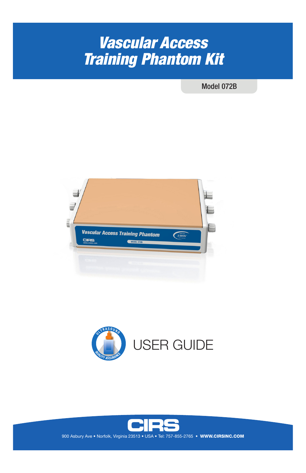# *Vascular Access Training Phantom Kit*

Model 072B





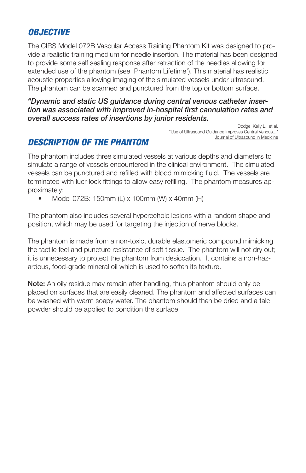# *OBJECTIVE*

The CIRS Model 072B Vascular Access Training Phantom Kit was designed to provide a realistic training medium for needle insertion. The material has been designed to provide some self sealing response after retraction of the needles allowing for extended use of the phantom (see 'Phantom Lifetime'). This material has realistic acoustic properties allowing imaging of the simulated vessels under ultrasound. The phantom can be scanned and punctured from the top or bottom surface.

### *"Dynamic and static US guidance during central venous catheter insertion was associated with improved in-hospital first cannulation rates and overall success rates of insertions by junior residents.*

Dodge, Kelly L., et al. "Use of Ultrasound Guidance Improves Central Venous..." Journal of Ultrasound in Medicine

# *DESCRIPTION OF THE PHANTOM*

The phantom includes three simulated vessels at various depths and diameters to simulate a range of vessels encountered in the clinical environment. The simulated vessels can be punctured and refilled with blood mimicking fluid. The vessels are terminated with luer-lock fittings to allow easy refilling. The phantom measures approximately:

• Model 072B: 150mm (L) x 100mm (W) x 40mm (H)

The phantom also includes several hyperechoic lesions with a random shape and position, which may be used for targeting the injection of nerve blocks.

The phantom is made from a non-toxic, durable elastomeric compound mimicking the tactile feel and puncture resistance of soft tissue. The phantom will not dry out; it is unnecessary to protect the phantom from desiccation. It contains a non-hazardous, food-grade mineral oil which is used to soften its texture.

Note: An oily residue may remain after handling, thus phantom should only be placed on surfaces that are easily cleaned. The phantom and affected surfaces can be washed with warm soapy water. The phantom should then be dried and a talc powder should be applied to condition the surface.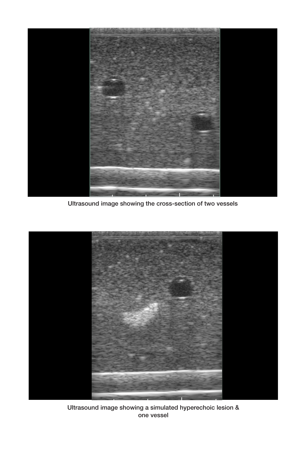

Ultrasound image showing the cross-section of two vessels



Ultrasound image showing a simulated hyperechoic lesion & one vessel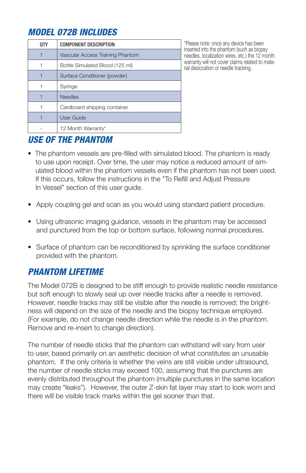# *MODEL 072B INCLUDES*

| 0TY | <b>COMPONENT DESCRIPTION</b>     |
|-----|----------------------------------|
|     | Vascular Access Training Phantom |
|     | Bottle Simulated Blood (125 ml)  |
|     | Surface Conditioner (powder)     |
|     | Syringe                          |
|     | <b>Needles</b>                   |
|     | Cardboard shipping container     |
|     | <b>User Guide</b>                |
|     | 12 Month Warranty*               |

\*Please note: once any device has been inserted into the phantom (such as biopsy needles, localization wires, etc.) the 12 month warranty will not cover claims related to material desiccation or needle tracking.

### *USE OF THE PHANTOM*

- The phantom vessels are pre-filled with simulated blood. The phantom is ready to use upon receipt. Over time, the user may notice a reduced amount of sim ulated blood within the phantom vessels even if the phantom has not been used. If this occurs, follow the instructions in the "To Refill and Adjust Pressure In Vessel" section of this user guide.
- Apply coupling gel and scan as you would using standard patient procedure.
- Using ultrasonic imaging guidance, vessels in the phantom may be accessed and punctured from the top or bottom surface, following normal procedures.
- Surface of phantom can be reconditioned by sprinkling the surface conditioner provided with the phantom.

### *PHANTOM LIFETIME*

The Model 072B is designed to be stiff enough to provide realistic needle resistance but soft enough to slowly seal up over needle tracks after a needle is removed. However, needle tracks may still be visible after the needle is removed; the brightness will depend on the size of the needle and the biopsy technique employed. (For example, do not change needle direction while the needle is in the phantom. Remove and re-insert to change direction).

The number of needle sticks that the phantom can withstand will vary from user to user, based primarily on an aesthetic decision of what constitutes an unusable phantom. If the only criteria is whether the veins are still visible under ultrasound, the number of needle sticks may exceed 100, assuming that the punctures are evenly distributed throughout the phantom (multiple punctures in the same location may create "leaks"). However, the outer Z-skin fat layer may start to look worn and there will be visible track marks within the gel sooner than that.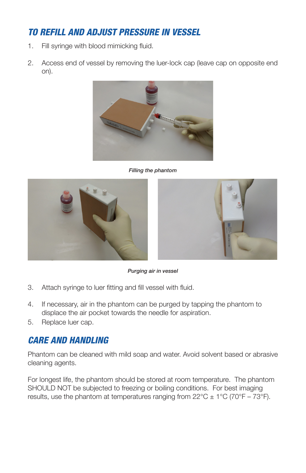# *TO REFILL AND ADJUST PRESSURE IN VESSEL*

- 1. Fill syringe with blood mimicking fluid.
- 2. Access end of vessel by removing the luer-lock cap (leave cap on opposite end on).



*Filling the phantom*





*Purging air in vessel*

- 3. Attach syringe to luer fitting and fill vessel with fluid.
- 4. If necessary, air in the phantom can be purged by tapping the phantom to displace the air pocket towards the needle for aspiration.
- 5. Replace luer cap.

### *CARE AND HANDLING*

Phantom can be cleaned with mild soap and water. Avoid solvent based or abrasive cleaning agents.

For longest life, the phantom should be stored at room temperature. The phantom SHOULD NOT be subjected to freezing or boiling conditions. For best imaging results, use the phantom at temperatures ranging from  $22^{\circ}C \pm 1^{\circ}C$  (70°F – 73°F).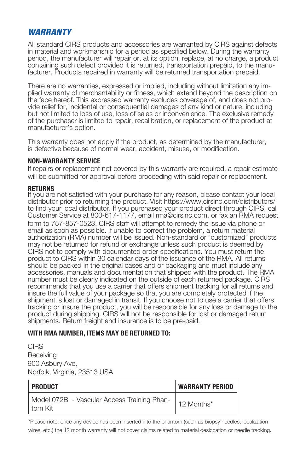### *WARRANTY*

All standard CIRS products and accessories are warranted by CIRS against defects in material and workmanship for a period as specified below. During the warranty period, the manufacturer will repair or, at its option, replace, at no charge, a product containing such defect provided it is returned, transportation prepaid, to the manufacturer. Products repaired in warranty will be returned transportation prepaid.

There are no warranties, expressed or implied, including without limitation any implied warranty of merchantability or fitness, which extend beyond the description on the face hereof. This expressed warranty excludes coverage of, and does not provide relief for, incidental or consequential damages of any kind or nature, including but not limited to loss of use, loss of sales or inconvenience. The exclusive remedy of the purchaser is limited to repair, recalibration, or replacement of the product at manufacturer's option.

This warranty does not apply if the product, as determined by the manufacturer, is defective because of normal wear, accident, misuse, or modification.

#### **NON-WARRANTY SERVICE**

If repairs or replacement not covered by this warranty are required, a repair estimate will be submitted for approval before proceeding with said repair or replacement.

#### **RETURNS**

If you are not satisfied with your purchase for any reason, please contact your local distributor prior to returning the product. Visit https://www.cirsinc.com/distributors/ to find your local distributor. If you purchased your product direct through CIRS, call Customer Service at 800-617-1177, email rma@cirsinc.com, or fax an RMA request form to 757-857-0523. CIRS staff will attempt to remedy the issue via phone or email as soon as possible. If unable to correct the problem, a return material authorization (RMA) number will be issued. Non-standard or "customized" products may not be returned for refund or exchange unless such product is deemed by CIRS not to comply with documented order specifications. You must return the product to CIRS within 30 calendar days of the issuance of the RMA. All returns should be packed in the original cases and or packaging and must include any accessories, manuals and documentation that shipped with the product. The RMA number must be clearly indicated on the outside of each returned package. CIRS recommends that you use a carrier that offers shipment tracking for all returns and insure the full value of your package so that you are completely protected if the shipment is lost or damaged in transit. If you choose not to use a carrier that offers tracking or insure the product, you will be responsible for any loss or damage to the product during shipping. CIRS will not be responsible for lost or damaged return shipments. Return freight and insurance is to be pre-paid.

#### **WITH RMA NUMBER, ITEMS MAY BE RETURNED TO:**

**CIRS Receiving** 900 Asbury Ave, Norfolk, Virginia, 23513 USA

| PRODUCT                                                | <b>WARRANTY PERIOD</b> |
|--------------------------------------------------------|------------------------|
| Model 072B - Vascular Access Training Phan-<br>tom Kit | 12 Months*             |

\*Please note: once any device has been inserted into the phantom (such as biopsy needles, localization wires, etc.) the 12 month warranty will not cover claims related to material desiccation or needle tracking.